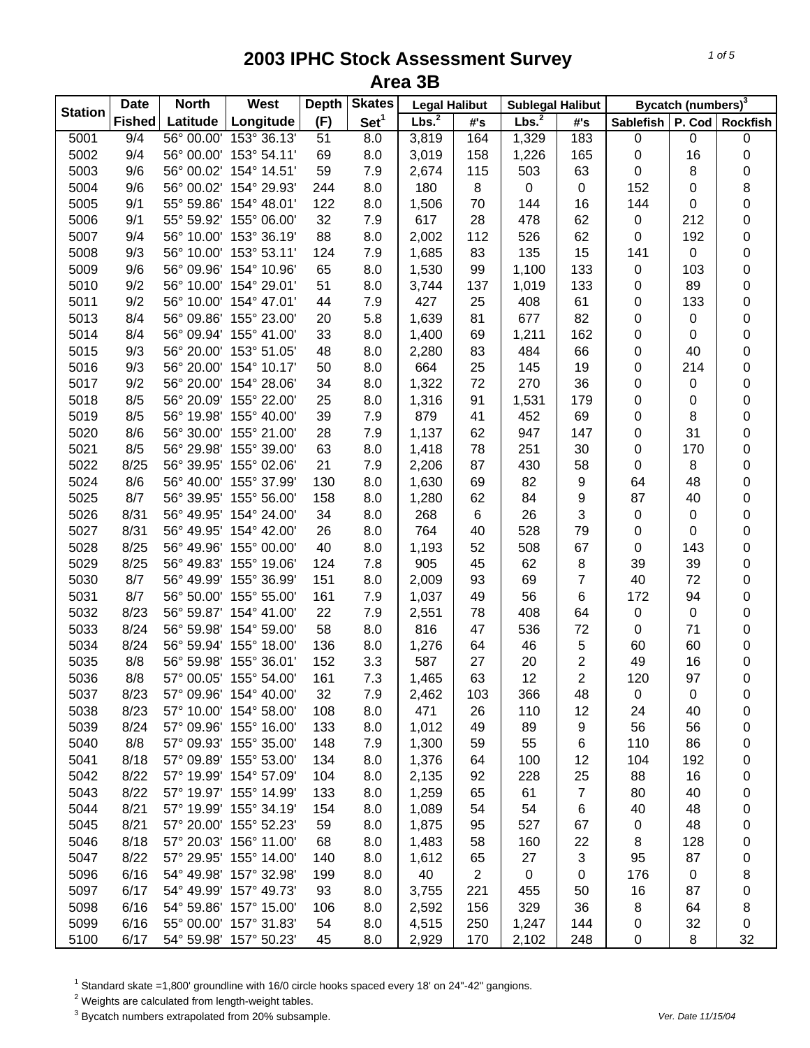| <b>Station</b> | <b>Date</b>   | <b>North</b> | West                   | <b>Depth</b> | <b>Skates</b>    | <b>Legal Halibut</b> |                | <b>Sublegal Halibut</b> |                         |             | Bycatch (numbers) <sup>3</sup> |                 |
|----------------|---------------|--------------|------------------------|--------------|------------------|----------------------|----------------|-------------------------|-------------------------|-------------|--------------------------------|-----------------|
|                | <b>Fished</b> | Latitude     | Longitude              | (F)          | Set <sup>1</sup> | Lbs. <sup>2</sup>    | #'s            | Lbs. <sup>2</sup>       | #'s                     | Sablefish   |                                | P. Cod Rockfish |
| 5001           | 9/4           | 56° 00.00'   | 153° 36.13'            | 51           | 8.0              | 3,819                | 164            | 1,329                   | 183                     | 0           | 0                              | 0               |
| 5002           | 9/4           |              | 56° 00.00' 153° 54.11' | 69           | 8.0              | 3,019                | 158            | 1,226                   | 165                     | $\pmb{0}$   | 16                             | 0               |
| 5003           | 9/6           |              | 56° 00.02' 154° 14.51' | 59           | 7.9              | 2,674                | 115            | 503                     | 63                      | 0           | 8                              | 0               |
| 5004           | 9/6           |              | 56° 00.02' 154° 29.93' | 244          | 8.0              | 180                  | 8              | $\pmb{0}$               | $\pmb{0}$               | 152         | 0                              | 8               |
| 5005           | 9/1           |              | 55° 59.86' 154° 48.01' | 122          | 8.0              | 1,506                | 70             | 144                     | 16                      | 144         | 0                              | 0               |
| 5006           | 9/1           |              | 55° 59.92' 155° 06.00' | 32           | 7.9              | 617                  | 28             | 478                     | 62                      | $\pmb{0}$   | 212                            | 0               |
| 5007           | 9/4           |              | 56° 10.00' 153° 36.19' | 88           | 8.0              | 2,002                | 112            | 526                     | 62                      | $\pmb{0}$   | 192                            | 0               |
| 5008           | 9/3           |              | 56° 10.00' 153° 53.11' | 124          | 7.9              | 1,685                | 83             | 135                     | 15                      | 141         | $\pmb{0}$                      | 0               |
| 5009           | 9/6           | 56° 09.96'   | 154° 10.96'            | 65           | 8.0              | 1,530                | 99             | 1,100                   | 133                     | $\mathbf 0$ | 103                            | 0               |
| 5010           | 9/2           |              | 56° 10.00' 154° 29.01' | 51           | 8.0              | 3,744                | 137            | 1,019                   | 133                     | 0           | 89                             | 0               |
| 5011           | 9/2           |              | 56° 10.00' 154° 47.01' | 44           | 7.9              | 427                  | 25             | 408                     | 61                      | 0           | 133                            | 0               |
| 5013           | 8/4           |              | 56° 09.86' 155° 23.00' | 20           | 5.8              | 1,639                | 81             | 677                     | 82                      | 0           | 0                              | 0               |
| 5014           | 8/4           |              | 56° 09.94' 155° 41.00' | 33           | 8.0              | 1,400                | 69             | 1,211                   | 162                     | 0           | 0                              | 0               |
| 5015           | 9/3           |              | 56° 20.00' 153° 51.05' | 48           | 8.0              | 2,280                | 83             | 484                     | 66                      | 0           | 40                             | 0               |
| 5016           | 9/3           |              | 56° 20.00' 154° 10.17' | 50           | 8.0              | 664                  | 25             | 145                     | 19                      | 0           | 214                            | 0               |
| 5017           | 9/2           |              | 56° 20.00' 154° 28.06' | 34           | 8.0              | 1,322                | 72             | 270                     | 36                      | $\pmb{0}$   | 0                              | 0               |
| 5018           | 8/5           |              | 56° 20.09' 155° 22.00' | 25           | 8.0              | 1,316                | 91             | 1,531                   | 179                     | 0           | 0                              | 0               |
| 5019           | 8/5           |              | 56° 19.98' 155° 40.00' | 39           | 7.9              | 879                  | 41             | 452                     | 69                      | 0           | 8                              | 0               |
| 5020           | 8/6           |              | 56° 30.00' 155° 21.00' | 28           | 7.9              | 1,137                | 62             | 947                     | 147                     | 0           | 31                             | 0               |
| 5021           | 8/5           |              | 56° 29.98' 155° 39.00' | 63           | 8.0              | 1,418                | 78             | 251                     | 30                      | 0           | 170                            | 0               |
| 5022           | 8/25          |              | 56° 39.95' 155° 02.06' | 21           | 7.9              | 2,206                | 87             | 430                     | 58                      | $\pmb{0}$   | 8                              | 0               |
| 5024           | 8/6           |              | 56° 40.00' 155° 37.99' | 130          | 8.0              | 1,630                | 69             | 82                      | 9                       | 64          | 48                             | 0               |
| 5025           | 8/7           |              | 56° 39.95' 155° 56.00' | 158          | 8.0              | 1,280                | 62             | 84                      | 9                       | 87          | 40                             | 0               |
| 5026           | 8/31          |              | 56° 49.95' 154° 24.00' | 34           | 8.0              | 268                  | 6              | 26                      | 3                       | 0           | $\pmb{0}$                      | $\mathsf 0$     |
| 5027           | 8/31          |              | 56° 49.95' 154° 42.00' | 26           | 8.0              | 764                  | 40             | 528                     | 79                      | $\pmb{0}$   | $\pmb{0}$                      | $\mathsf 0$     |
| 5028           | 8/25          |              | 56° 49.96' 155° 00.00' | 40           | 8.0              | 1,193                | 52             | 508                     | 67                      | $\pmb{0}$   | 143                            | 0               |
| 5029           | 8/25          |              | 56° 49.83' 155° 19.06' | 124          | 7.8              | 905                  | 45             | 62                      | 8                       | 39          | 39                             | 0               |
| 5030           | 8/7           |              | 56° 49.99' 155° 36.99' | 151          | 8.0              | 2,009                | 93             | 69                      | $\overline{7}$          | 40          | 72                             | 0               |
| 5031           | 8/7           |              | 56° 50.00' 155° 55.00' | 161          | 7.9              | 1,037                | 49             | 56                      | 6                       | 172         | 94                             | 0               |
| 5032           | 8/23          |              | 56° 59.87' 154° 41.00' | 22           | 7.9              | 2,551                | 78             | 408                     | 64                      | 0           | 0                              | 0               |
| 5033           | 8/24          |              | 56° 59.98' 154° 59.00' | 58           | 8.0              | 816                  | 47             | 536                     | 72                      | $\pmb{0}$   | 71                             | 0               |
| 5034           | 8/24          |              | 56° 59.94' 155° 18.00' | 136          | 8.0              | 1,276                | 64             | 46                      | 5                       | 60          | 60                             | 0               |
| 5035           | 8/8           |              | 56° 59.98' 155° 36.01' | 152          | 3.3              | 587                  | 27             | 20                      | $\overline{\mathbf{c}}$ | 49          | 16                             | 0               |
| 5036           | 8/8           |              | 57° 00.05' 155° 54.00' | 161          | 7.3              | 1,465                | 63             | 12                      | $\overline{2}$          | 120         | 97                             | 0               |
| 5037           | 8/23          |              | 57° 09.96' 154° 40.00' | 32           | 7.9              | 2,462                | 103            | 366                     | 48                      | 0           | 0                              | 0               |
| 5038           | 8/23          |              | 57° 10.00' 154° 58.00' | 108          | 8.0              | 471                  | 26             | 110                     | 12                      | 24          | 40                             | 0               |
| 5039           | 8/24          |              | 57° 09.96' 155° 16.00' | 133          | 8.0              | 1,012                | 49             | 89                      | 9                       | 56          | 56                             | 0               |
| 5040           | 8/8           |              | 57° 09.93' 155° 35.00' | 148          | 7.9              | 1,300                | 59             | 55                      | 6                       | 110         | 86                             | 0               |
| 5041           | 8/18          |              | 57° 09.89' 155° 53.00' | 134          | 8.0              | 1,376                | 64             | 100                     | 12                      | 104         | 192                            | 0               |
| 5042           | 8/22          |              | 57° 19.99' 154° 57.09' | 104          | 8.0              | 2,135                | 92             | 228                     | 25                      | 88          | 16                             | 0               |
| 5043           | 8/22          |              | 57° 19.97' 155° 14.99' | 133          | 8.0              | 1,259                | 65             | 61                      | $\overline{7}$          | 80          | 40                             | 0               |
| 5044           | 8/21          |              | 57° 19.99' 155° 34.19' | 154          | 8.0              | 1,089                | 54             | 54                      | 6                       | 40          | 48                             | 0               |
| 5045           | 8/21          |              | 57° 20.00' 155° 52.23' | 59           | 8.0              | 1,875                | 95             | 527                     | 67                      | 0           | 48                             | 0               |
| 5046           | 8/18          |              | 57° 20.03' 156° 11.00' | 68           | 8.0              | 1,483                | 58             | 160                     | 22                      | 8           | 128                            | 0               |
| 5047           | 8/22          |              | 57° 29.95' 155° 14.00' | 140          | 8.0              | 1,612                | 65             | 27                      | 3                       | 95          | 87                             | 0               |
| 5096           | 6/16          |              | 54° 49.98' 157° 32.98' | 199          | 8.0              | 40                   | $\overline{2}$ | $\mathbf 0$             | 0                       | 176         | 0                              | 8               |
| 5097           | 6/17          |              | 54° 49.99' 157° 49.73' | 93           | 8.0              | 3,755                | 221            | 455                     | 50                      | 16          | 87                             | 0               |
| 5098           | 6/16          |              | 54° 59.86' 157° 15.00' | 106          | 8.0              | 2,592                | 156            | 329                     | 36                      | 8           | 64                             | 8               |
| 5099           | 6/16          |              | 55° 00.00' 157° 31.83' | 54           | 8.0              | 4,515                | 250            | 1,247                   | 144                     | 0           | 32                             | 0               |
| 5100           | 6/17          |              | 54° 59.98' 157° 50.23' | 45           | 8.0              | 2,929                | 170            | 2,102                   | 248                     | 0           | 8                              | 32              |

<sup>1</sup> Standard skate =1,800' groundline with 16/0 circle hooks spaced every 18' on 24"-42" gangions.<br><sup>2</sup> Weights are calculated from length-weight tables.<br><sup>3</sup> Bycatch numbers extrapolated from 20% subsample.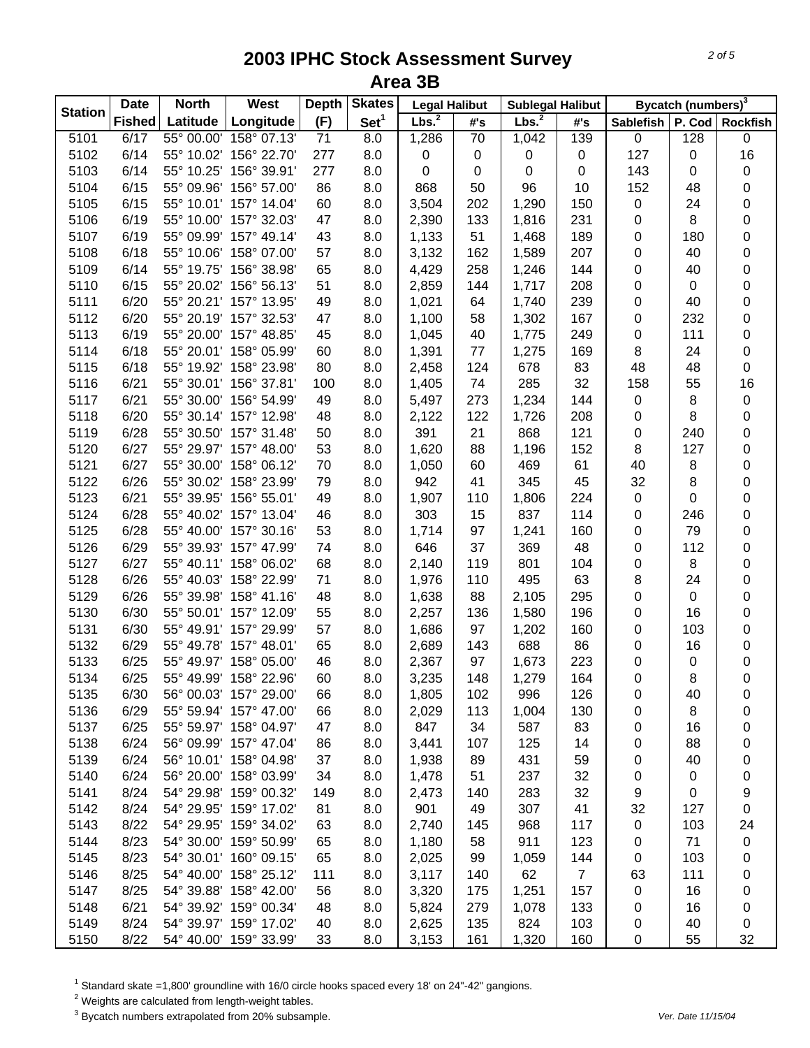| <b>Station</b> | <b>Date</b>   | <b>North</b> | West                   | <b>Depth</b> | <b>Skates</b>    | <b>Legal Halibut</b> |     | <b>Sublegal Halibut</b> |                |                  | Bycatch (numbers) <sup>3</sup> |                   |
|----------------|---------------|--------------|------------------------|--------------|------------------|----------------------|-----|-------------------------|----------------|------------------|--------------------------------|-------------------|
|                | <b>Fished</b> | Latitude     | Longitude              | (F)          | Set <sup>1</sup> | Lbs. <sup>2</sup>    | #'s | Lbs. <sup>2</sup>       | #'s            | <b>Sablefish</b> |                                | P. Cod   Rockfish |
| 5101           | 6/17          | 55° 00.00'   | 158° 07.13'            | 71           | 8.0              | 1,286                | 70  | 1,042                   | 139            | $\pmb{0}$        | 128                            | 0                 |
| 5102           | 6/14          |              | 55° 10.02' 156° 22.70' | 277          | 8.0              | 0                    | 0   | 0                       | 0              | 127              | 0                              | 16                |
| 5103           | 6/14          |              | 55° 10.25' 156° 39.91' | 277          | 8.0              | 0                    | 0   | 0                       | 0              | 143              | 0                              | $\pmb{0}$         |
| 5104           | 6/15          |              | 55° 09.96' 156° 57.00' | 86           | 8.0              | 868                  | 50  | 96                      | 10             | 152              | 48                             | 0                 |
| 5105           | 6/15          |              | 55° 10.01' 157° 14.04' | 60           | 8.0              | 3,504                | 202 | 1,290                   | 150            | 0                | 24                             | 0                 |
| 5106           | 6/19          |              | 55° 10.00' 157° 32.03' | 47           | 8.0              | 2,390                | 133 | 1,816                   | 231            | 0                | 8                              | 0                 |
| 5107           | 6/19          |              | 55° 09.99' 157° 49.14' | 43           | 8.0              | 1,133                | 51  | 1,468                   | 189            | 0                | 180                            | 0                 |
| 5108           | 6/18          |              | 55° 10.06' 158° 07.00' | 57           | 8.0              | 3,132                | 162 | 1,589                   | 207            | $\pmb{0}$        | 40                             | 0                 |
| 5109           | 6/14          |              | 55° 19.75' 156° 38.98' | 65           | 8.0              | 4,429                | 258 | 1,246                   | 144            | 0                | 40                             | 0                 |
| 5110           | 6/15          |              | 55° 20.02' 156° 56.13' | 51           | 8.0              | 2,859                | 144 | 1,717                   | 208            | 0                | $\boldsymbol{0}$               | 0                 |
| 5111           | 6/20          |              | 55° 20.21' 157° 13.95' | 49           | 8.0              | 1,021                | 64  | 1,740                   | 239            | 0                | 40                             | 0                 |
| 5112           | 6/20          |              | 55° 20.19' 157° 32.53' | 47           | 8.0              | 1,100                | 58  | 1,302                   | 167            | 0                | 232                            | 0                 |
| 5113           | 6/19          |              | 55° 20.00' 157° 48.85' | 45           | 8.0              | 1,045                | 40  | 1,775                   | 249            | 0                | 111                            | 0                 |
| 5114           | 6/18          |              | 55° 20.01' 158° 05.99' | 60           | 8.0              | 1,391                | 77  | 1,275                   | 169            | 8                | 24                             | 0                 |
| 5115           | 6/18          |              | 55° 19.92' 158° 23.98' | 80           | 8.0              | 2,458                | 124 | 678                     | 83             | 48               | 48                             | 0                 |
| 5116           | 6/21          |              | 55° 30.01' 156° 37.81' | 100          | 8.0              | 1,405                | 74  | 285                     | 32             | 158              | 55                             | 16                |
| 5117           | 6/21          |              | 55° 30.00' 156° 54.99' | 49           | 8.0              | 5,497                | 273 | 1,234                   | 144            | 0                | 8                              | 0                 |
| 5118           | 6/20          |              | 55° 30.14' 157° 12.98' | 48           | 8.0              | 2,122                | 122 | 1,726                   | 208            | 0                | 8                              | 0                 |
| 5119           | 6/28          |              | 55° 30.50' 157° 31.48' | 50           | 8.0              | 391                  | 21  | 868                     | 121            | 0                | 240                            | 0                 |
| 5120           | 6/27          |              | 55° 29.97' 157° 48.00' | 53           | 8.0              | 1,620                | 88  | 1,196                   | 152            | 8                | 127                            | 0                 |
| 5121           | 6/27          |              | 55° 30.00' 158° 06.12' | 70           | 8.0              | 1,050                | 60  | 469                     | 61             | 40               | 8                              | 0                 |
| 5122           | 6/26          |              | 55° 30.02' 158° 23.99' | 79           | 8.0              | 942                  | 41  | 345                     | 45             | 32               | 8                              | 0                 |
| 5123           | 6/21          |              | 55° 39.95' 156° 55.01' | 49           | 8.0              | 1,907                | 110 | 1,806                   | 224            | $\pmb{0}$        | $\mathbf 0$                    | 0                 |
| 5124           | 6/28          |              | 55° 40.02' 157° 13.04' | 46           | 8.0              | 303                  | 15  | 837                     | 114            | 0                | 246                            | 0                 |
| 5125           | 6/28          |              | 55° 40.00' 157° 30.16' | 53           | 8.0              | 1,714                | 97  | 1,241                   | 160            | 0                | 79                             | 0                 |
| 5126           | 6/29          |              | 55° 39.93' 157° 47.99' | 74           | 8.0              | 646                  | 37  | 369                     | 48             | 0                | 112                            | 0                 |
| 5127           | 6/27          |              | 55° 40.11' 158° 06.02' | 68           | 8.0              | 2,140                | 119 | 801                     | 104            | 0                | 8                              | 0                 |
| 5128           | 6/26          |              | 55° 40.03' 158° 22.99' | 71           | 8.0              | 1,976                | 110 | 495                     | 63             | 8                | 24                             | 0                 |
| 5129           | 6/26          |              | 55° 39.98' 158° 41.16' | 48           | 8.0              | 1,638                | 88  | 2,105                   | 295            | 0                | $\pmb{0}$                      | 0                 |
| 5130           | 6/30          |              | 55° 50.01' 157° 12.09' | 55           | 8.0              | 2,257                | 136 | 1,580                   | 196            | 0                | 16                             | 0                 |
| 5131           | 6/30          |              | 55° 49.91' 157° 29.99' | 57           | 8.0              | 1,686                | 97  | 1,202                   | 160            | 0                | 103                            | 0                 |
| 5132           | 6/29          |              | 55° 49.78' 157° 48.01' | 65           | 8.0              | 2,689                | 143 | 688                     | 86             | 0                | 16                             | 0                 |
| 5133           | 6/25          |              | 55° 49.97' 158° 05.00' | 46           | 8.0              | 2,367                | 97  | 1,673                   | 223            | 0                | 0                              | 0                 |
| 5134           | 6/25          |              | 55° 49.99' 158° 22.96' | 60           | 8.0              | 3,235                | 148 | 1,279                   | 164            | 0                | 8                              | 0                 |
| 5135           | 6/30          |              | 56° 00.03' 157° 29.00' | 66           | 8.0              | 1,805                | 102 | 996                     | 126            | 0                | 40                             | 0                 |
| 5136           | 6/29          |              | 55° 59.94' 157° 47.00' | 66           | 8.0              | 2,029                | 113 | 1,004                   | 130            | 0                | 8                              | 0                 |
| 5137           | 6/25          |              | 55° 59.97' 158° 04.97' | 47           | 8.0              | 847                  | 34  | 587                     | 83             | 0                | 16                             | 0                 |
| 5138           | 6/24          |              | 56° 09.99' 157° 47.04' | 86           | 8.0              | 3,441                | 107 | 125                     | 14             | 0                | 88                             | 0                 |
| 5139           | 6/24          |              | 56° 10.01' 158° 04.98' | 37           | 8.0              | 1,938                | 89  | 431                     | 59             | 0                | 40                             | 0                 |
| 5140           | 6/24          |              | 56° 20.00' 158° 03.99' | 34           | 8.0              | 1,478                | 51  | 237                     | 32             | 0                | 0                              | 0                 |
| 5141           | 8/24          |              | 54° 29.98' 159° 00.32' | 149          | 8.0              | 2,473                | 140 | 283                     | 32             | 9                | 0                              | 9                 |
| 5142           | 8/24          |              | 54° 29.95' 159° 17.02' | 81           | 8.0              | 901                  | 49  | 307                     | 41             | 32               | 127                            | 0                 |
| 5143           | 8/22          |              | 54° 29.95' 159° 34.02' | 63           | 8.0              | 2,740                | 145 | 968                     | 117            | 0                | 103                            | 24                |
| 5144           | 8/23          |              | 54° 30.00' 159° 50.99' | 65           | 8.0              | 1,180                | 58  | 911                     | 123            | 0                | 71                             | $\pmb{0}$         |
| 5145           | 8/23          |              | 54° 30.01' 160° 09.15' | 65           | 8.0              | 2,025                | 99  | 1,059                   | 144            | 0                | 103                            | 0                 |
| 5146           | 8/25          |              | 54° 40.00' 158° 25.12' | 111          | 8.0              | 3,117                | 140 | 62                      | $\overline{7}$ | 63               | 111                            | 0                 |
| 5147           | 8/25          |              | 54° 39.88' 158° 42.00' | 56           | 8.0              | 3,320                | 175 | 1,251                   | 157            | 0                | 16                             | 0                 |
| 5148           | 6/21          |              | 54° 39.92' 159° 00.34' | 48           | 8.0              | 5,824                | 279 | 1,078                   | 133            | 0                | 16                             | 0                 |
| 5149           | 8/24          |              | 54° 39.97' 159° 17.02' | 40           | 8.0              | 2,625                | 135 | 824                     | 103            | 0                | 40                             | 0                 |
| 5150           | 8/22          |              | 54° 40.00' 159° 33.99' | 33           | 8.0              | 3,153                | 161 | 1,320                   | 160            | 0                | 55                             | 32                |

 $^1$  Standard skate =1,800' groundline with 16/0 circle hooks spaced every 18' on 24"-42" gangions.<br><sup>2</sup> Weights are calculated from length-weight tables.

3 Bycatch numbers extrapolated from 20% subsample. *Ver. Date 11/15/04*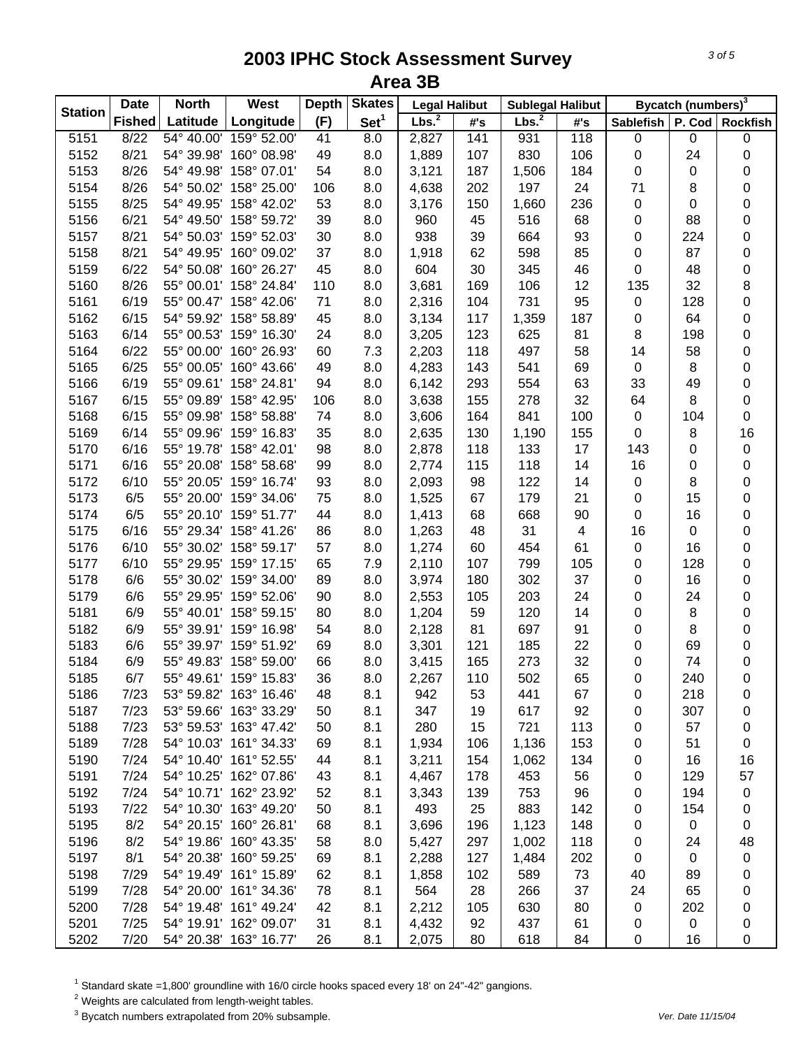| <b>Station</b> | <b>Date</b>   | <b>North</b> | West                   | <b>Depth</b> | <b>Skates</b>    | <b>Legal Halibut</b> |     | <b>Sublegal Halibut</b> |     |                  | Bycatch (numbers) <sup>3</sup> |                 |
|----------------|---------------|--------------|------------------------|--------------|------------------|----------------------|-----|-------------------------|-----|------------------|--------------------------------|-----------------|
|                | <b>Fished</b> | Latitude     | Longitude              | (F)          | Set <sup>1</sup> | Lbs. <sup>2</sup>    | #'s | Lbs. <sup>2</sup>       | #'s | <b>Sablefish</b> |                                | P. Cod Rockfish |
| 5151           | 8/22          | 54° 40.00'   | 159° 52.00'            | 41           | 8.0              | 2,827                | 141 | 931                     | 118 | $\pmb{0}$        | $\pmb{0}$                      | 0               |
| 5152           | 8/21          |              | 54° 39.98' 160° 08.98' | 49           | 8.0              | 1,889                | 107 | 830                     | 106 | 0                | 24                             | 0               |
| 5153           | 8/26          |              | 54° 49.98' 158° 07.01' | 54           | 8.0              | 3,121                | 187 | 1,506                   | 184 | 0                | 0                              | 0               |
| 5154           | 8/26          |              | 54° 50.02' 158° 25.00' | 106          | 8.0              | 4,638                | 202 | 197                     | 24  | 71               | 8                              | 0               |
| 5155           | 8/25          |              | 54° 49.95' 158° 42.02' | 53           | 8.0              | 3,176                | 150 | 1,660                   | 236 | 0                | $\pmb{0}$                      | 0               |
| 5156           | 6/21          |              | 54° 49.50' 158° 59.72' | 39           | 8.0              | 960                  | 45  | 516                     | 68  | 0                | 88                             | 0               |
| 5157           | 8/21          |              | 54° 50.03' 159° 52.03' | 30           | 8.0              | 938                  | 39  | 664                     | 93  | $\pmb{0}$        | 224                            | $\mathbf 0$     |
| 5158           | 8/21          |              | 54° 49.95' 160° 09.02' | 37           | 8.0              | 1,918                | 62  | 598                     | 85  | $\mathbf 0$      | 87                             | 0               |
| 5159           | 6/22          |              | 54° 50.08' 160° 26.27' | 45           | 8.0              | 604                  | 30  | 345                     | 46  | $\mathbf 0$      | 48                             | 0               |
| 5160           | 8/26          |              | 55° 00.01' 158° 24.84' | 110          | 8.0              | 3,681                | 169 | 106                     | 12  | 135              | 32                             | 8               |
| 5161           | 6/19          |              | 55° 00.47' 158° 42.06' | 71           | 8.0              | 2,316                | 104 | 731                     | 95  | $\pmb{0}$        | 128                            | $\mathbf 0$     |
| 5162           | 6/15          |              | 54° 59.92' 158° 58.89' | 45           | 8.0              | 3,134                | 117 | 1,359                   | 187 | 0                | 64                             | 0               |
| 5163           | 6/14          |              | 55° 00.53' 159° 16.30' | 24           | 8.0              | 3,205                | 123 | 625                     | 81  | 8                | 198                            | 0               |
| 5164           | 6/22          |              | 55° 00.00' 160° 26.93' | 60           | 7.3              | 2,203                | 118 | 497                     | 58  | 14               | 58                             | 0               |
| 5165           | 6/25          |              | 55° 00.05' 160° 43.66' | 49           | 8.0              | 4,283                | 143 | 541                     | 69  | 0                | 8                              | 0               |
| 5166           | 6/19          |              | 55° 09.61' 158° 24.81' | 94           | 8.0              | 6,142                | 293 | 554                     | 63  | 33               | 49                             | 0               |
| 5167           | 6/15          |              | 55° 09.89' 158° 42.95' | 106          | 8.0              | 3,638                | 155 | 278                     | 32  | 64               | 8                              | 0               |
| 5168           | 6/15          | 55° 09.98'   | 158° 58.88'            | 74           | 8.0              | 3,606                | 164 | 841                     | 100 | $\pmb{0}$        | 104                            | 0               |
| 5169           | 6/14          |              | 55° 09.96' 159° 16.83' | 35           | 8.0              | 2,635                | 130 | 1,190                   | 155 | 0                | 8                              | 16              |
| 5170           | 6/16          |              | 55° 19.78' 158° 42.01' | 98           | 8.0              | 2,878                | 118 | 133                     | 17  | 143              | 0                              | $\mathbf 0$     |
| 5171           | 6/16          |              | 55° 20.08' 158° 58.68' | 99           | 8.0              | 2,774                | 115 | 118                     | 14  | 16               | $\pmb{0}$                      | 0               |
| 5172           | 6/10          |              | 55° 20.05' 159° 16.74' | 93           | 8.0              | 2,093                | 98  | 122                     | 14  | 0                | 8                              | 0               |
| 5173           | 6/5           |              | 55° 20.00' 159° 34.06' | 75           | 8.0              | 1,525                | 67  | 179                     | 21  | 0                | 15                             | 0               |
| 5174           | 6/5           |              | 55° 20.10' 159° 51.77' | 44           | 8.0              | 1,413                | 68  | 668                     | 90  | 0                | 16                             | 0               |
| 5175           | 6/16          |              | 55° 29.34' 158° 41.26' | 86           | 8.0              | 1,263                | 48  | 31                      | 4   | 16               | $\boldsymbol{0}$               | 0               |
| 5176           | 6/10          |              | 55° 30.02' 158° 59.17' | 57           | 8.0              | 1,274                | 60  | 454                     | 61  | 0                | 16                             | 0               |
| 5177           | 6/10          |              | 55° 29.95' 159° 17.15' | 65           | 7.9              | 2,110                | 107 | 799                     | 105 | 0                | 128                            | 0               |
| 5178           | 6/6           |              | 55° 30.02' 159° 34.00' | 89           | 8.0              | 3,974                | 180 | 302                     | 37  | 0                | 16                             | 0               |
| 5179           | 6/6           |              | 55° 29.95' 159° 52.06' | 90           | 8.0              | 2,553                | 105 | 203                     | 24  | 0                | 24                             | 0               |
| 5181           | 6/9           |              | 55° 40.01' 158° 59.15' | 80           | 8.0              | 1,204                | 59  | 120                     | 14  | 0                | 8                              | 0               |
| 5182           | 6/9           |              | 55° 39.91' 159° 16.98' | 54           | 8.0              | 2,128                | 81  | 697                     | 91  | 0                | 8                              | 0               |
| 5183           | 6/6           |              | 55° 39.97' 159° 51.92' | 69           | 8.0              | 3,301                | 121 | 185                     | 22  | 0                | 69                             | 0               |
| 5184           | 6/9           |              | 55° 49.83' 158° 59.00' | 66           | 8.0              | 3,415                | 165 | 273                     | 32  | 0                | 74                             | 0               |
| 5185           | 6/7           |              | 55° 49.61' 159° 15.83' | 36           | 8.0              | 2,267                | 110 | 502                     | 65  | 0                | 240                            | 0               |
| 5186           | 7/23          |              | 53° 59.82' 163° 16.46' | 48           | 8.1              | 942                  | 53  | 441                     | 67  | 0                | 218                            | 0               |
| 5187           | 7/23          |              | 53° 59.66' 163° 33.29' | 50           | 8.1              | 347                  | 19  | 617                     | 92  | 0                | 307                            | 0               |
| 5188           | 7/23          |              | 53° 59.53' 163° 47.42' | 50           | 8.1              | 280                  | 15  | 721                     | 113 | 0                | 57                             | 0               |
| 5189           | 7/28          |              | 54° 10.03' 161° 34.33' | 69           | 8.1              | 1,934                | 106 | 1,136                   | 153 | 0                | 51                             | 0               |
| 5190           | 7/24          |              | 54° 10.40' 161° 52.55' | 44           | 8.1              | 3,211                | 154 | 1,062                   | 134 | 0                | 16                             | 16              |
| 5191           | 7/24          |              | 54° 10.25' 162° 07.86' | 43           | 8.1              | 4,467                | 178 | 453                     | 56  | 0                | 129                            | 57              |
| 5192           | 7/24          |              | 54° 10.71' 162° 23.92' | 52           | 8.1              | 3,343                | 139 | 753                     | 96  | 0                | 194                            | $\pmb{0}$       |
| 5193           | 7/22          |              | 54° 10.30' 163° 49.20' | 50           | 8.1              | 493                  | 25  | 883                     | 142 | 0                | 154                            | 0               |
| 5195           | 8/2           |              | 54° 20.15' 160° 26.81' | 68           | 8.1              | 3,696                | 196 | 1,123                   | 148 | 0                | $\boldsymbol{0}$               | 0               |
| 5196           | 8/2           |              | 54° 19.86' 160° 43.35' | 58           | 8.0              | 5,427                | 297 | 1,002                   | 118 | 0                | 24                             | 48              |
| 5197           | 8/1           |              | 54° 20.38' 160° 59.25' | 69           | 8.1              | 2,288                | 127 | 1,484                   | 202 | 0                | $\boldsymbol{0}$               | $\pmb{0}$       |
| 5198           | 7/29          |              | 54° 19.49' 161° 15.89' | 62           | 8.1              | 1,858                | 102 | 589                     | 73  | 40               | 89                             | 0               |
| 5199           | 7/28          |              | 54° 20.00' 161° 34.36' | 78           | 8.1              | 564                  | 28  | 266                     | 37  | 24               | 65                             | 0               |
| 5200           | 7/28          |              | 54° 19.48' 161° 49.24' | 42           | 8.1              | 2,212                | 105 | 630                     | 80  | 0                | 202                            | 0               |
| 5201           | 7/25          |              | 54° 19.91' 162° 09.07' | 31           | 8.1              | 4,432                | 92  | 437                     | 61  | 0                | 0                              | 0               |
| 5202           | 7/20          |              | 54° 20.38' 163° 16.77' | 26           | 8.1              | 2,075                | 80  | 618                     | 84  | $\pmb{0}$        | 16                             | 0               |

 $^1$  Standard skate =1,800' groundline with 16/0 circle hooks spaced every 18' on 24"-42" gangions.<br><sup>2</sup> Weights are calculated from length-weight tables.

3 Bycatch numbers extrapolated from 20% subsample. *Ver. Date 11/15/04*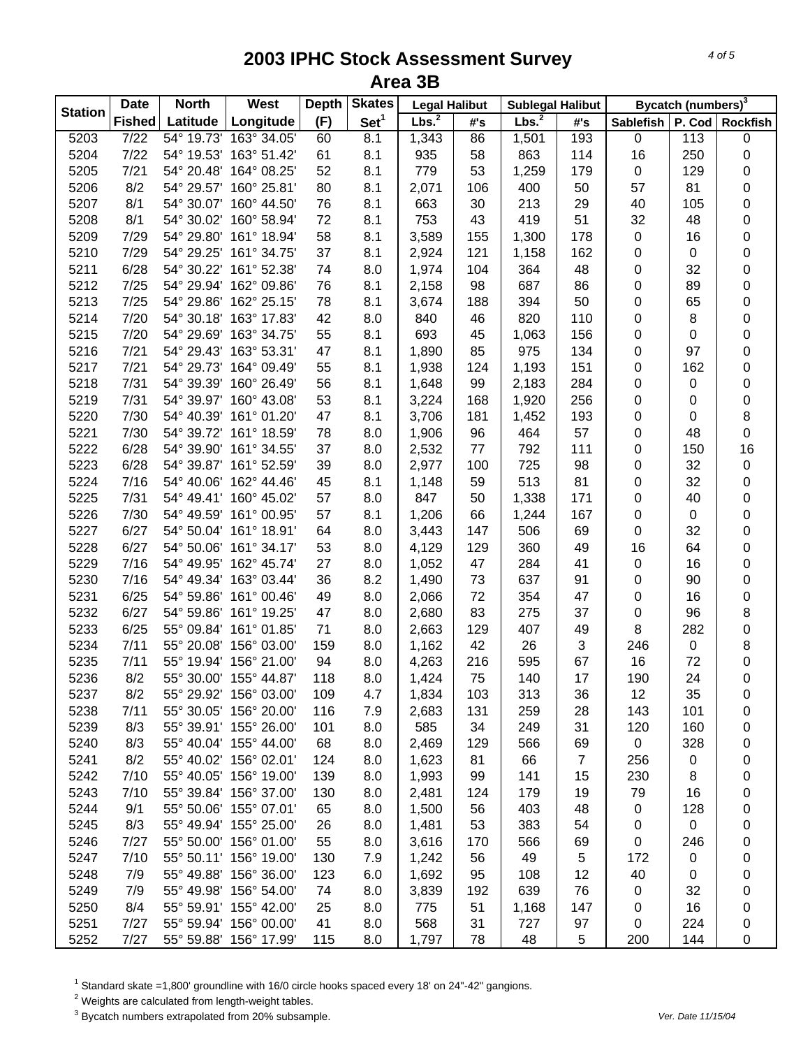| <b>Station</b> | <b>Date</b>   | <b>North</b> | West                   | <b>Depth</b> | <b>Skates</b>    | <b>Legal Halibut</b> |     | <b>Sublegal Halibut</b> |                |           | Bycatch (numbers) <sup>3</sup> |                 |
|----------------|---------------|--------------|------------------------|--------------|------------------|----------------------|-----|-------------------------|----------------|-----------|--------------------------------|-----------------|
|                | <b>Fished</b> | Latitude     | Longitude              | (F)          | Set <sup>1</sup> | Lbs. <sup>2</sup>    | #'s | Lbs. <sup>2</sup>       | #'s            | Sablefish |                                | P. Cod Rockfish |
| 5203           | 7/22          | 54° 19.73'   | 163° 34.05'            | 60           | 8.1              | 1,343                | 86  | 1,501                   | 193            | 0         | 113                            | 0               |
| 5204           | 7/22          |              | 54° 19.53' 163° 51.42' | 61           | 8.1              | 935                  | 58  | 863                     | 114            | 16        | 250                            | 0               |
| 5205           | $7/21$        |              | 54° 20.48' 164° 08.25' | 52           | 8.1              | 779                  | 53  | 1,259                   | 179            | $\pmb{0}$ | 129                            | $\mathsf 0$     |
| 5206           | 8/2           |              | 54° 29.57' 160° 25.81' | 80           | 8.1              | 2,071                | 106 | 400                     | 50             | 57        | 81                             | $\mathsf 0$     |
| 5207           | 8/1           |              | 54° 30.07' 160° 44.50' | 76           | 8.1              | 663                  | 30  | 213                     | 29             | 40        | 105                            | $\mathsf 0$     |
| 5208           | 8/1           |              | 54° 30.02' 160° 58.94' | 72           | 8.1              | 753                  | 43  | 419                     | 51             | 32        | 48                             | $\mathsf 0$     |
| 5209           | 7/29          |              | 54° 29.80' 161° 18.94' | 58           | 8.1              | 3,589                | 155 | 1,300                   | 178            | $\pmb{0}$ | 16                             | $\mathsf 0$     |
| 5210           | 7/29          |              | 54° 29.25' 161° 34.75' | 37           | 8.1              | 2,924                | 121 | 1,158                   | 162            | $\pmb{0}$ | $\pmb{0}$                      | $\mathsf 0$     |
| 5211           | 6/28          |              | 54° 30.22' 161° 52.38' | 74           | 8.0              | 1,974                | 104 | 364                     | 48             | 0         | 32                             | 0               |
| 5212           | 7/25          |              | 54° 29.94' 162° 09.86' | 76           | 8.1              | 2,158                | 98  | 687                     | 86             | 0         | 89                             | 0               |
| 5213           | 7/25          |              | 54° 29.86' 162° 25.15' | 78           | 8.1              | 3,674                | 188 | 394                     | 50             | 0         | 65                             | $\mathsf 0$     |
| 5214           | 7/20          |              | 54° 30.18' 163° 17.83' | 42           | 8.0              | 840                  | 46  | 820                     | 110            | 0         | 8                              | 0               |
| 5215           | 7/20          |              | 54° 29.69' 163° 34.75' | 55           | 8.1              | 693                  | 45  | 1,063                   | 156            | 0         | 0                              | $\mathsf 0$     |
| 5216           | 7/21          |              | 54° 29.43' 163° 53.31' | 47           | 8.1              | 1,890                | 85  | 975                     | 134            | 0         | 97                             | $\mathsf 0$     |
| 5217           | 7/21          |              | 54° 29.73' 164° 09.49' | 55           | 8.1              | 1,938                | 124 | 1,193                   | 151            | $\pmb{0}$ | 162                            | $\mathsf 0$     |
| 5218           | 7/31          |              | 54° 39.39' 160° 26.49' | 56           | 8.1              | 1,648                | 99  | 2,183                   | 284            | 0         | 0                              | 0               |
| 5219           | 7/31          |              | 54° 39.97' 160° 43.08' | 53           | 8.1              | 3,224                | 168 | 1,920                   | 256            | 0         | 0                              | 0               |
| 5220           | 7/30          |              | 54° 40.39' 161° 01.20' | 47           | 8.1              | 3,706                | 181 | 1,452                   | 193            | 0         | 0                              | 8               |
| 5221           | 7/30          |              | 54° 39.72' 161° 18.59' | 78           | 8.0              | 1,906                | 96  | 464                     | 57             | 0         | 48                             | $\mathsf 0$     |
| 5222           | 6/28          |              | 54° 39.90' 161° 34.55' | 37           | 8.0              | 2,532                | 77  | 792                     | 111            | 0         | 150                            | 16              |
| 5223           | 6/28          |              | 54° 39.87' 161° 52.59' | 39           | 8.0              | 2,977                | 100 | 725                     | 98             | 0         | 32                             | $\pmb{0}$       |
| 5224           | 7/16          |              | 54° 40.06' 162° 44.46' | 45           | 8.1              | 1,148                | 59  | 513                     | 81             | $\pmb{0}$ | 32                             | $\mathsf 0$     |
| 5225           | 7/31          |              | 54° 49.41' 160° 45.02' | 57           | 8.0              | 847                  | 50  | 1,338                   | 171            | $\pmb{0}$ | 40                             | $\mathsf 0$     |
| 5226           | 7/30          |              | 54° 49.59' 161° 00.95' | 57           | 8.1              | 1,206                | 66  | 1,244                   | 167            | $\pmb{0}$ | $\pmb{0}$                      | $\mathsf 0$     |
| 5227           | 6/27          |              | 54° 50.04' 161° 18.91' | 64           | 8.0              | 3,443                | 147 | 506                     | 69             | $\pmb{0}$ | 32                             | $\mathsf 0$     |
| 5228           | 6/27          |              | 54° 50.06' 161° 34.17' | 53           | 8.0              | 4,129                | 129 | 360                     | 49             | 16        | 64                             | 0               |
| 5229           | 7/16          |              | 54° 49.95' 162° 45.74' | 27           | 8.0              | 1,052                | 47  | 284                     | 41             | $\pmb{0}$ | 16                             | 0               |
| 5230           | 7/16          |              | 54° 49.34' 163° 03.44' | 36           | 8.2              | 1,490                | 73  | 637                     | 91             | $\pmb{0}$ | 90                             | 0               |
| 5231           | 6/25          |              | 54° 59.86' 161° 00.46' | 49           | 8.0              | 2,066                | 72  | 354                     | 47             | 0         | 16                             | 0               |
| 5232           | 6/27          |              | 54° 59.86' 161° 19.25' | 47           | 8.0              | 2,680                | 83  | 275                     | 37             | $\pmb{0}$ | 96                             | 8               |
| 5233           | 6/25          |              | 55° 09.84' 161° 01.85' | 71           | 8.0              | 2,663                | 129 | 407                     | 49             | 8         | 282                            | $\mathsf 0$     |
| 5234           | 7/11          |              | 55° 20.08' 156° 03.00' | 159          | 8.0              | 1,162                | 42  | 26                      | 3              | 246       | 0                              | 8               |
| 5235           | 7/11          |              | 55° 19.94' 156° 21.00' | 94           | 8.0              | 4,263                | 216 | 595                     | 67             | 16        | 72                             | 0               |
| 5236           | 8/2           |              | 55° 30.00' 155° 44.87' | 118          | 8.0              | 1,424                | 75  | 140                     | 17             | 190       | 24                             | 0               |
| 5237           | 8/2           |              | 55° 29.92' 156° 03.00' | 109          | 4.7              | 1,834                | 103 | 313                     | 36             | 12        | 35                             | 0               |
| 5238           | 7/11          |              | 55° 30.05' 156° 20.00' | 116          | 7.9              | 2,683                | 131 | 259                     | 28             | 143       | 101                            | 0               |
| 5239           | 8/3           |              | 55° 39.91' 155° 26.00' | 101          | 8.0              | 585                  | 34  | 249                     | 31             | 120       | 160                            | 0               |
| 5240           | 8/3           |              | 55° 40.04' 155° 44.00' | 68           | 8.0              | 2,469                | 129 | 566                     | 69             | 0         | 328                            | 0               |
| 5241           | 8/2           |              | 55° 40.02' 156° 02.01' | 124          | 8.0              | 1,623                | 81  | 66                      | $\overline{7}$ | 256       | 0                              | 0               |
| 5242           | 7/10          |              | 55° 40.05' 156° 19.00' | 139          | 8.0              | 1,993                | 99  | 141                     | 15             | 230       | 8                              | 0               |
| 5243           | 7/10          |              | 55° 39.84' 156° 37.00' | 130          | 8.0              | 2,481                | 124 | 179                     | 19             | 79        | 16                             | 0               |
| 5244           | 9/1           |              | 55° 50.06' 155° 07.01' | 65           | 8.0              | 1,500                | 56  | 403                     | 48             | 0         | 128                            | 0               |
| 5245           | 8/3           |              | 55° 49.94' 155° 25.00' | 26           | 8.0              | 1,481                | 53  | 383                     | 54             | 0         | 0                              | 0               |
| 5246           | 7/27          |              | 55° 50.00' 156° 01.00' | 55           | 8.0              | 3,616                | 170 | 566                     | 69             | 0         | 246                            | 0               |
| 5247           | 7/10          |              | 55° 50.11' 156° 19.00' | 130          | 7.9              | 1,242                | 56  | 49                      | 5              | 172       | 0                              | 0               |
| 5248           | 7/9           |              | 55° 49.88' 156° 36.00' | 123          | 6.0              | 1,692                | 95  | 108                     | 12             | 40        | 0                              | 0               |
| 5249           | 7/9           |              | 55° 49.98' 156° 54.00' | 74           | 8.0              | 3,839                | 192 | 639                     | 76             | 0         | 32                             | 0               |
| 5250           | 8/4           |              | 55° 59.91' 155° 42.00' | 25           | 8.0              | 775                  | 51  | 1,168                   | 147            | 0         | 16                             | 0               |
| 5251           | 7/27          |              | 55° 59.94' 156° 00.00' | 41           | 8.0              | 568                  | 31  | 727                     | 97             | 0         | 224                            | 0               |
| 5252           | 7/27          |              | 55° 59.88' 156° 17.99' | 115          | 8.0              | 1,797                | 78  | 48                      | $\,$ 5 $\,$    | 200       | 144                            | 0               |

 $^1$  Standard skate =1,800' groundline with 16/0 circle hooks spaced every 18' on 24"-42" gangions.<br><sup>2</sup> Weights are calculated from length-weight tables.

3 Bycatch numbers extrapolated from 20% subsample. *Ver. Date 11/15/04*